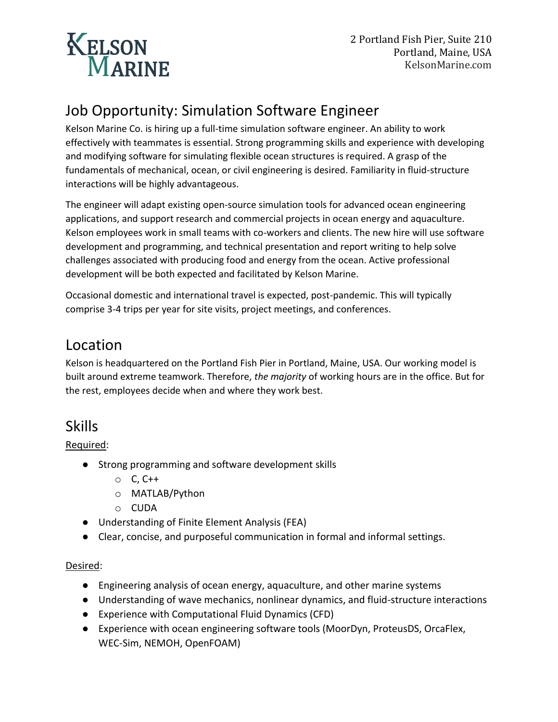

# Job Opportunity: Simulation Software Engineer

Kelson Marine Co. is hiring up a full-time simulation software engineer. An ability to work effectively with teammates is essential. Strong programming skills and experience with developing and modifying software for simulating flexible ocean structures is required. A grasp of the fundamentals of mechanical, ocean, or civil engineering is desired. Familiarity in fluid-structure interactions will be highly advantageous.

The engineer will adapt existing open-source simulation tools for advanced ocean engineering applications, and support research and commercial projects in ocean energy and aquaculture. Kelson employees work in small teams with co-workers and clients. The new hire will use software development and programming, and technical presentation and report writing to help solve challenges associated with producing food and energy from the ocean. Active professional development will be both expected and facilitated by Kelson Marine.

Occasional domestic and international travel is expected, post-pandemic. This will typically comprise 3-4 trips per year for site visits, project meetings, and conferences.

## Location

Kelson is headquartered on the Portland Fish Pier in Portland, Maine, USA. Our working model is built around extreme teamwork. Therefore, *the majority* of working hours are in the office. But for the rest, employees decide when and where they work best.

# Skills

### Required:

- Strong programming and software development skills
	- o C, C++
	- o MATLAB/Python
	- o CUDA
- Understanding of Finite Element Analysis (FEA)
- Clear, concise, and purposeful communication in formal and informal settings.

### Desired:

- Engineering analysis of ocean energy, aquaculture, and other marine systems
- Understanding of wave mechanics, nonlinear dynamics, and fluid-structure interactions
- Experience with Computational Fluid Dynamics (CFD)
- Experience with ocean engineering software tools (MoorDyn, ProteusDS, OrcaFlex, WEC-Sim, NEMOH, OpenFOAM)